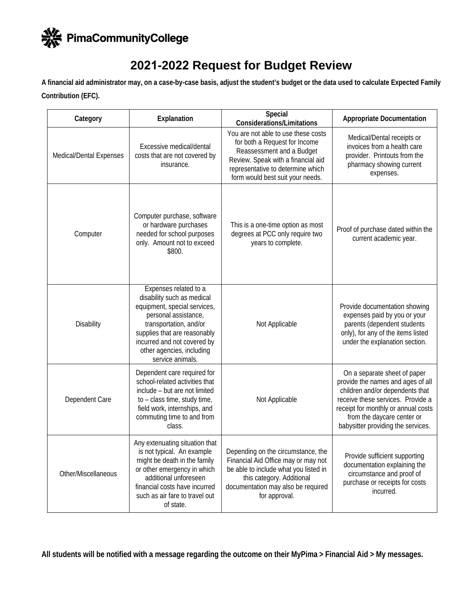

## **2021-2022 Request for Budget Review**

**A financial aid administrator may, on a case-by-case basis, adjust the student's budget or the data used to calculate Expected Family Contribution (EFC).** 

| Category                | Explanation                                                                                                                                                                                                                                           | Special<br><b>Considerations/Limitations</b>                                                                                                                                                                     | <b>Appropriate Documentation</b>                                                                                                                                                                                                                     |  |
|-------------------------|-------------------------------------------------------------------------------------------------------------------------------------------------------------------------------------------------------------------------------------------------------|------------------------------------------------------------------------------------------------------------------------------------------------------------------------------------------------------------------|------------------------------------------------------------------------------------------------------------------------------------------------------------------------------------------------------------------------------------------------------|--|
| Medical/Dental Expenses | Excessive medical/dental<br>costs that are not covered by<br>insurance.                                                                                                                                                                               | You are not able to use these costs<br>for both a Request for Income<br>Reassessment and a Budget<br>Review. Speak with a financial aid<br>representative to determine which<br>form would best suit your needs. | Medical/Dental receipts or<br>invoices from a health care<br>provider. Printouts from the<br>pharmacy showing current<br>expenses.                                                                                                                   |  |
| Computer                | Computer purchase, software<br>or hardware purchases<br>needed for school purposes<br>only. Amount not to exceed<br>\$800.                                                                                                                            | This is a one-time option as most<br>degrees at PCC only require two<br>years to complete.                                                                                                                       | Proof of purchase dated within the<br>current academic year.                                                                                                                                                                                         |  |
| <b>Disability</b>       | Expenses related to a<br>disability such as medical<br>equipment, special services,<br>personal assistance,<br>transportation, and/or<br>supplies that are reasonably<br>incurred and not covered by<br>other agencies, including<br>service animals. | Not Applicable                                                                                                                                                                                                   | Provide documentation showing<br>expenses paid by you or your<br>parents (dependent students<br>only), for any of the items listed<br>under the explanation section.                                                                                 |  |
| Dependent Care          | Dependent care required for<br>school-related activities that<br>include - but are not limited<br>to - class time, study time,<br>field work, internships, and<br>commuting time to and from<br>class.                                                | Not Applicable                                                                                                                                                                                                   | On a separate sheet of paper<br>provide the names and ages of all<br>children and/or dependents that<br>receive these services. Provide a<br>receipt for monthly or annual costs<br>from the daycare center or<br>babysitter providing the services. |  |
| Other/Miscellaneous     | Any extenuating situation that<br>is not typical. An example<br>might be death in the family<br>or other emergency in which<br>additional unforeseen<br>financial costs have incurred<br>such as air fare to travel out<br>of state.                  | Depending on the circumstance, the<br>Financial Aid Office may or may not<br>be able to include what you listed in<br>this category. Additional<br>documentation may also be required<br>for approval.           | Provide sufficient supporting<br>documentation explaining the<br>circumstance and proof of<br>purchase or receipts for costs<br>incurred.                                                                                                            |  |

**All students will be notified with a message regarding the outcome on their MyPima > Fina**n**cial Aid > My messages.**